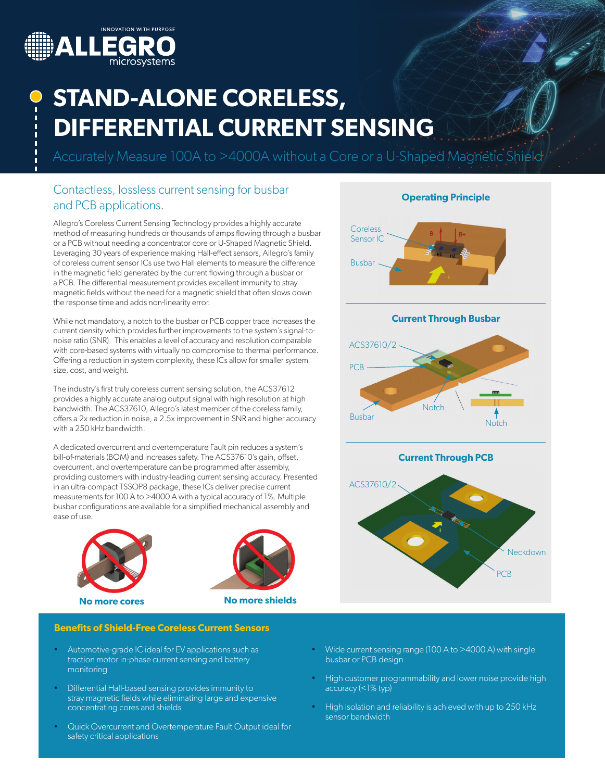

# **STAND-ALONE CORELESS, DIFFERENTIAL CURRENT SENSING**

Accurately Measure 100A to >4000A without a Core or a U-Shaped Magnetic Shield

### Contactless, lossless current sensing for busbar and PCB applications.

Allegro's Coreless Current Sensing Technology provides a highly accurate method of measuring hundreds or thousands of amps flowing through a busbar or a PCB without needing a concentrator core or U-Shaped Magnetic Shield. Leveraging 30 years of experience making Hall-effect sensors, Allegro's family of coreless current sensor ICs use two Hall elements to measure the difference in the magnetic field generated by the current flowing through a busbar or a PCB. The differential measurement provides excellent immunity to stray magnetic fields without the need for a magnetic shield that often slows down the response time and adds non-linearity error.

While not mandatory, a notch to the busbar or PCB copper trace increases the current density which provides further improvements to the system's signal-tonoise ratio (SNR). This enables a level of accuracy and resolution comparable with core-based systems with virtually no compromise to thermal performance. Offering a reduction in system complexity, these ICs allow for smaller system size, cost, and weight.

The industry's first truly coreless current sensing solution, the ACS37612 provides a highly accurate analog output signal with high resolution at high bandwidth. The ACS37610, Allegro's latest member of the coreless family, offers a 2x reduction in noise, a 2.5x improvement in SNR and higher accuracy with a 250 kHz bandwidth.

A dedicated overcurrent and overtemperature Fault pin reduces a system's bill-of-materials (BOM) and increases safety. The ACS37610's gain, offset, overcurrent, and overtemperature can be programmed after assembly, providing customers with industry-leading current sensing accuracy. Presented in an ultra-compact TSSOP8 package, these ICs deliver precise current measurements for 100 A to >4000 A with a typical accuracy of 1%. Multiple busbar configurations are available for a simplified mechanical assembly and ease of use.





**No more cores No more shields**

#### **Benefits of Shield-Free Coreless Current Sensors**

- Automotive-grade IC ideal for EV applications such as traction motor in-phase current sensing and battery monitoring
- Differential Hall-based sensing provides immunity to stray magnetic fields while eliminating large and expensive concentrating cores and shields
- Quick Overcurrent and Overtemperature Fault Output ideal for safety critical applications
- **Operating Principle Current Through PCB** ACS37610/2 Neckdown PCB **Current Through Busbar** ACS37610/2 **Notch** Busbar PCB **Notch Coreless** Sensor IC Busbar
- Wide current sensing range (100 A to >4000 A) with single busbar or PCB design
- High customer programmability and lower noise provide high accuracy (<1% typ)
- High isolation and reliability is achieved with up to 250 kHz sensor bandwidth